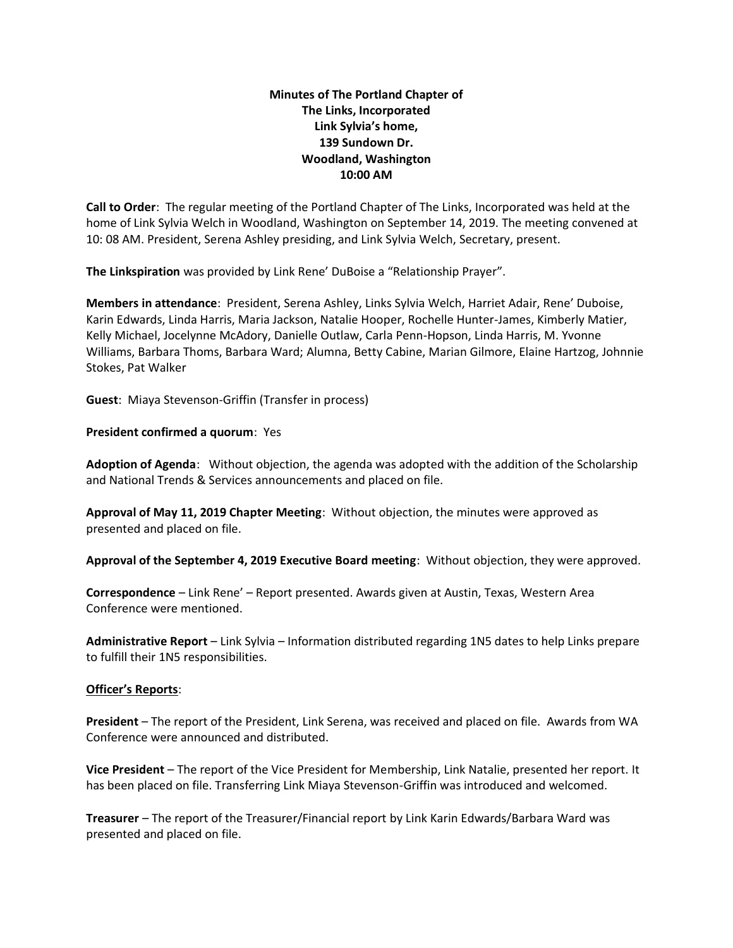## **Minutes of The Portland Chapter of The Links, Incorporated Link Sylvia's home, 139 Sundown Dr. Woodland, Washington 10:00 AM**

**Call to Order**: The regular meeting of the Portland Chapter of The Links, Incorporated was held at the home of Link Sylvia Welch in Woodland, Washington on September 14, 2019. The meeting convened at 10: 08 AM. President, Serena Ashley presiding, and Link Sylvia Welch, Secretary, present.

**The Linkspiration** was provided by Link Rene' DuBoise a "Relationship Prayer".

**Members in attendance**: President, Serena Ashley, Links Sylvia Welch, Harriet Adair, Rene' Duboise, Karin Edwards, Linda Harris, Maria Jackson, Natalie Hooper, Rochelle Hunter-James, Kimberly Matier, Kelly Michael, Jocelynne McAdory, Danielle Outlaw, Carla Penn-Hopson, Linda Harris, M. Yvonne Williams, Barbara Thoms, Barbara Ward; Alumna, Betty Cabine, Marian Gilmore, Elaine Hartzog, Johnnie Stokes, Pat Walker

**Guest**: Miaya Stevenson-Griffin (Transfer in process)

## **President confirmed a quorum**: Yes

**Adoption of Agenda**: Without objection, the agenda was adopted with the addition of the Scholarship and National Trends & Services announcements and placed on file.

**Approval of May 11, 2019 Chapter Meeting**: Without objection, the minutes were approved as presented and placed on file.

**Approval of the September 4, 2019 Executive Board meeting**: Without objection, they were approved.

**Correspondence** – Link Rene' – Report presented. Awards given at Austin, Texas, Western Area Conference were mentioned.

**Administrative Report** – Link Sylvia – Information distributed regarding 1N5 dates to help Links prepare to fulfill their 1N5 responsibilities.

## **Officer's Reports**:

**President** – The report of the President, Link Serena, was received and placed on file. Awards from WA Conference were announced and distributed.

**Vice President** – The report of the Vice President for Membership, Link Natalie, presented her report. It has been placed on file. Transferring Link Miaya Stevenson-Griffin was introduced and welcomed.

**Treasurer** – The report of the Treasurer/Financial report by Link Karin Edwards/Barbara Ward was presented and placed on file.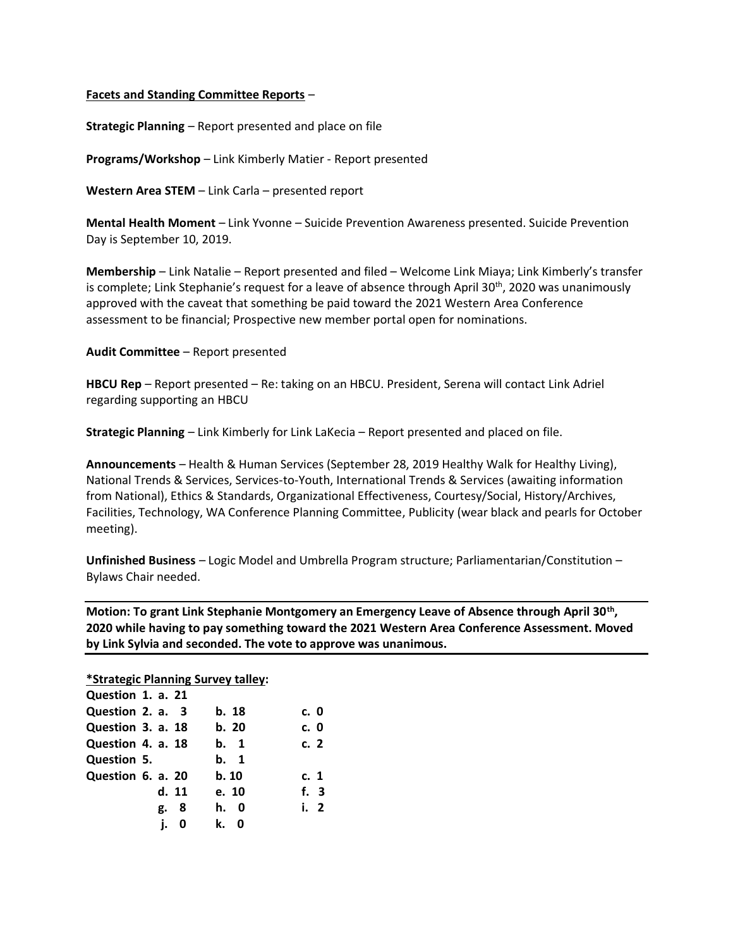## **Facets and Standing Committee Reports** –

**Strategic Planning** – Report presented and place on file

**Programs/Workshop** – Link Kimberly Matier - Report presented

**Western Area STEM** – Link Carla – presented report

**Mental Health Moment** – Link Yvonne – Suicide Prevention Awareness presented. Suicide Prevention Day is September 10, 2019.

**Membership** – Link Natalie – Report presented and filed – Welcome Link Miaya; Link Kimberly's transfer is complete; Link Stephanie's request for a leave of absence through April 30<sup>th</sup>, 2020 was unanimously approved with the caveat that something be paid toward the 2021 Western Area Conference assessment to be financial; Prospective new member portal open for nominations.

**Audit Committee** – Report presented

**HBCU Rep** – Report presented – Re: taking on an HBCU. President, Serena will contact Link Adriel regarding supporting an HBCU

**Strategic Planning** – Link Kimberly for Link LaKecia – Report presented and placed on file.

**Announcements** – Health & Human Services (September 28, 2019 Healthy Walk for Healthy Living), National Trends & Services, Services-to-Youth, International Trends & Services (awaiting information from National), Ethics & Standards, Organizational Effectiveness, Courtesy/Social, History/Archives, Facilities, Technology, WA Conference Planning Committee, Publicity (wear black and pearls for October meeting).

**Unfinished Business** – Logic Model and Umbrella Program structure; Parliamentarian/Constitution – Bylaws Chair needed.

**Motion: To grant Link Stephanie Montgomery an Emergency Leave of Absence through April 30th , 2020 while having to pay something toward the 2021 Western Area Conference Assessment. Moved by Link Sylvia and seconded. The vote to approve was unanimous.**

**\*Strategic Planning Survey talley:**

| Question 1. a. 21 |         |        |
|-------------------|---------|--------|
| Question 2. a. 3  | b. 18   | c. 0   |
| Question 3. a. 18 | b. 20   | c. 0   |
| Question 4. a. 18 | b. 1    | c. 2   |
| Question 5.       | b. 1    |        |
| Question 6. a. 20 | b. 10   | c. 1   |
| d. 11             | e. 10   | f. 3   |
| 8<br>g.           | h. 0    | i. $2$ |
| j.<br>0           | k.<br>0 |        |